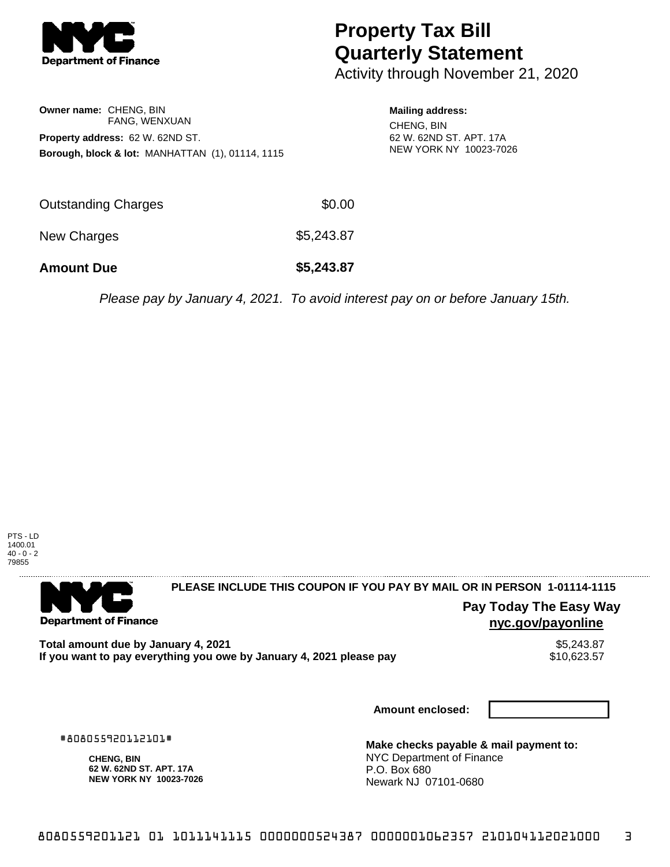

# **Property Tax Bill Quarterly Statement**

Activity through November 21, 2020

| <b>Owner name: CHENG, BIN</b>    |                                                             |  |  |  |  |
|----------------------------------|-------------------------------------------------------------|--|--|--|--|
|                                  | FANG, WENXUAN                                               |  |  |  |  |
| Property address: 62 W. 62ND ST. |                                                             |  |  |  |  |
|                                  | <b>Borough, block &amp; lot: MANHATTAN (1), 01114, 1115</b> |  |  |  |  |

#### **Mailing address:** CHENG, BIN 62 W. 62ND ST. APT. 17A NEW YORK NY 10023-7026

| <b>Amount Due</b>   | \$5,243.87 |
|---------------------|------------|
| New Charges         | \$5,243.87 |
| Outstanding Charges | \$0.00     |

Please pay by January 4, 2021. To avoid interest pay on or before January 15th.



. . . . . . . . . . . . . . . .

### 

**Department of Finance** 

. . . . . . . . . . . . . . .

**PLEASE INCLUDE THIS COUPON IF YOU PAY BY MAIL OR IN PERSON 1-01114-1115** 

## **Pay Today The Easy Way nyc.gov/payonline**

Total amount due by January 4, 2021<br>If you want to pay everything you owe by January 4, 2021 please pay **structure of the Santa America** S10,623.57 If you want to pay everything you owe by January 4, 2021 please pay

**Amount enclosed:**

#808055920112101#

**CHENG, BIN 62 W. 62ND ST. APT. 17A NEW YORK NY 10023-7026**

**Make checks payable & mail payment to:** NYC Department of Finance P.O. Box 680 Newark NJ 07101-0680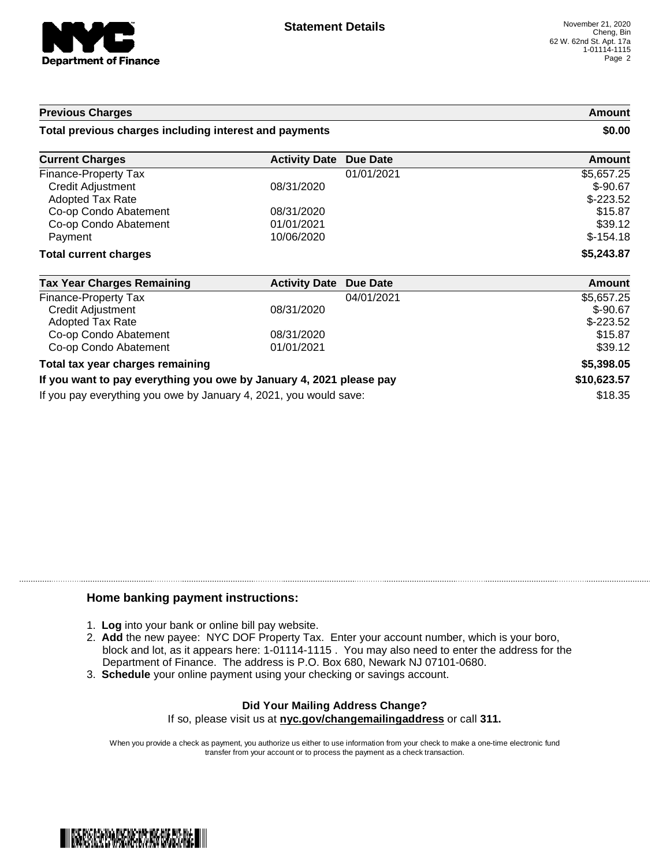

#### **Previous Charges Amount**

#### **Total previous charges including interest and payments \$0.00**

| <b>Current Charges</b>       | <b>Activity Date Due Date</b> | Amount     |
|------------------------------|-------------------------------|------------|
| Finance-Property Tax         | 01/01/2021                    | \$5,657.25 |
| <b>Credit Adjustment</b>     | 08/31/2020                    | $$-90.67$  |
| Adopted Tax Rate             |                               | $$-223.52$ |
| Co-op Condo Abatement        | 08/31/2020                    | \$15.87    |
| Co-op Condo Abatement        | 01/01/2021                    | \$39.12    |
| Payment                      | 10/06/2020                    | $$-154.18$ |
| <b>Total current charges</b> |                               | \$5,243.87 |

| <b>Tax Year Charges Remaining</b>                                   | <b>Activity Date Due Date</b> | Amount      |
|---------------------------------------------------------------------|-------------------------------|-------------|
| Finance-Property Tax                                                | 04/01/2021                    | \$5,657.25  |
| Credit Adjustment                                                   | 08/31/2020                    | $$-90.67$   |
| Adopted Tax Rate                                                    |                               | $$-223.52$  |
| Co-op Condo Abatement                                               | 08/31/2020                    | \$15.87     |
| Co-op Condo Abatement                                               | 01/01/2021                    | \$39.12     |
| Total tax year charges remaining                                    | \$5,398.05                    |             |
| If you want to pay everything you owe by January 4, 2021 please pay |                               | \$10,623.57 |
| If you pay everything you owe by January 4, 2021, you would save:   |                               | \$18.35     |

#### **Home banking payment instructions:**

- 1. **Log** into your bank or online bill pay website.
- 2. **Add** the new payee: NYC DOF Property Tax. Enter your account number, which is your boro, block and lot, as it appears here: 1-01114-1115 . You may also need to enter the address for the Department of Finance. The address is P.O. Box 680, Newark NJ 07101-0680.
- 3. **Schedule** your online payment using your checking or savings account.

#### **Did Your Mailing Address Change?** If so, please visit us at **nyc.gov/changemailingaddress** or call **311.**

When you provide a check as payment, you authorize us either to use information from your check to make a one-time electronic fund transfer from your account or to process the payment as a check transaction.